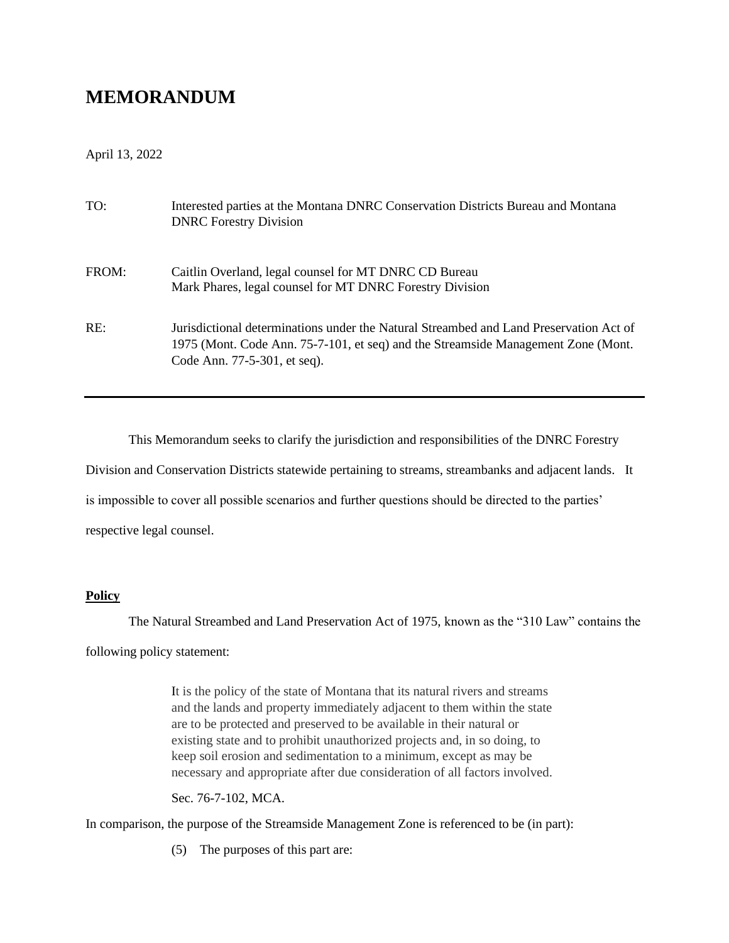# **MEMORANDUM**

## April 13, 2022

| TO:   | Interested parties at the Montana DNRC Conservation Districts Bureau and Montana<br><b>DNRC</b> Forestry Division                                                                                           |
|-------|-------------------------------------------------------------------------------------------------------------------------------------------------------------------------------------------------------------|
| FROM: | Caitlin Overland, legal counsel for MT DNRC CD Bureau<br>Mark Phares, legal counsel for MT DNRC Forestry Division                                                                                           |
| RE:   | Jurisdictional determinations under the Natural Streambed and Land Preservation Act of<br>1975 (Mont. Code Ann. 75-7-101, et seq) and the Streamside Management Zone (Mont.<br>Code Ann. 77-5-301, et seq). |

This Memorandum seeks to clarify the jurisdiction and responsibilities of the DNRC Forestry Division and Conservation Districts statewide pertaining to streams, streambanks and adjacent lands. It is impossible to cover all possible scenarios and further questions should be directed to the parties' respective legal counsel.

## **Policy**

The Natural Streambed and Land Preservation Act of 1975, known as the "310 Law" contains the

following policy statement:

It is the policy of the state of Montana that its natural rivers and streams and the lands and property immediately adjacent to them within the state are to be protected and preserved to be available in their natural or existing state and to prohibit unauthorized projects and, in so doing, to keep soil erosion and sedimentation to a minimum, except as may be necessary and appropriate after due consideration of all factors involved.

Sec. 76-7-102, MCA.

In comparison, the purpose of the Streamside Management Zone is referenced to be (in part):

(5) The purposes of this part are: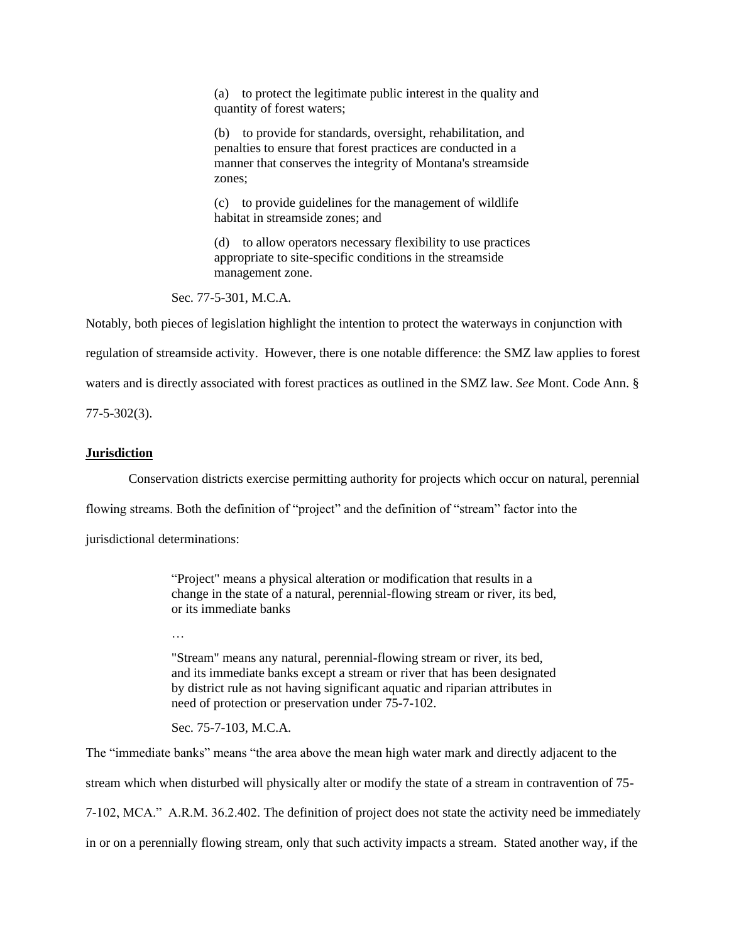(a) to protect the legitimate public interest in the quality and quantity of forest waters;

(b) to provide for standards, oversight, rehabilitation, and penalties to ensure that forest practices are conducted in a manner that conserves the integrity of Montana's streamside zones;

(c) to provide guidelines for the management of wildlife habitat in streamside zones; and

(d) to allow operators necessary flexibility to use practices appropriate to site-specific conditions in the streamside management zone.

Sec. 77-5-301, M.C.A.

Notably, both pieces of legislation highlight the intention to protect the waterways in conjunction with

regulation of streamside activity. However, there is one notable difference: the SMZ law applies to forest

waters and is directly associated with forest practices as outlined in the SMZ law. *See* Mont. Code Ann. §

77-5-302(3).

### **Jurisdiction**

Conservation districts exercise permitting authority for projects which occur on natural, perennial

flowing streams. Both the definition of "project" and the definition of "stream" factor into the

jurisdictional determinations:

"Project" means a physical alteration or modification that results in a change in the state of a natural, perennial-flowing stream or river, its bed, or its immediate banks

…

"Stream" means any natural, perennial-flowing stream or river, its bed, and its immediate banks except a stream or river that has been designated by district rule as not having significant aquatic and riparian attributes in need of protection or preservation under 75-7-102.

Sec. 75-7-103, M.C.A.

The "immediate banks" means "the area above the mean high water mark and directly adjacent to the stream which when disturbed will physically alter or modify the state of a stream in contravention of 75- 7-102, MCA." A.R.M. 36.2.402. The definition of project does not state the activity need be immediately in or on a perennially flowing stream, only that such activity impacts a stream. Stated another way, if the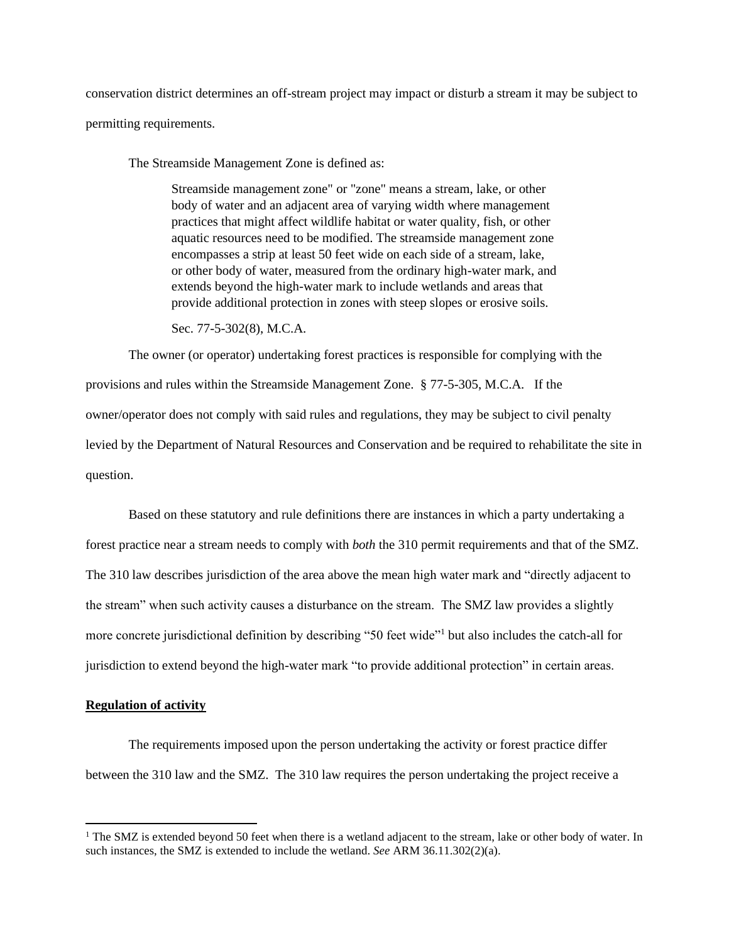conservation district determines an off-stream project may impact or disturb a stream it may be subject to permitting requirements.

The Streamside Management Zone is defined as:

Streamside management zone" or "zone" means a stream, lake, or other body of water and an adjacent area of varying width where management practices that might affect wildlife habitat or water quality, fish, or other aquatic resources need to be modified. The streamside management zone encompasses a strip at least 50 feet wide on each side of a stream, lake, or other body of water, measured from the ordinary high-water mark, and extends beyond the high-water mark to include wetlands and areas that provide additional protection in zones with steep slopes or erosive soils.

Sec. 77-5-302(8), M.C.A.

The owner (or operator) undertaking forest practices is responsible for complying with the provisions and rules within the Streamside Management Zone. § 77-5-305, M.C.A. If the owner/operator does not comply with said rules and regulations, they may be subject to civil penalty levied by the Department of Natural Resources and Conservation and be required to rehabilitate the site in question.

Based on these statutory and rule definitions there are instances in which a party undertaking a forest practice near a stream needs to comply with *both* the 310 permit requirements and that of the SMZ. The 310 law describes jurisdiction of the area above the mean high water mark and "directly adjacent to the stream" when such activity causes a disturbance on the stream. The SMZ law provides a slightly more concrete jurisdictional definition by describing "50 feet wide"<sup>1</sup> but also includes the catch-all for jurisdiction to extend beyond the high-water mark "to provide additional protection" in certain areas.

#### **Regulation of activity**

The requirements imposed upon the person undertaking the activity or forest practice differ between the 310 law and the SMZ. The 310 law requires the person undertaking the project receive a

<sup>&</sup>lt;sup>1</sup> The SMZ is extended beyond 50 feet when there is a wetland adjacent to the stream, lake or other body of water. In such instances, the SMZ is extended to include the wetland. *See* ARM 36.11.302(2)(a).